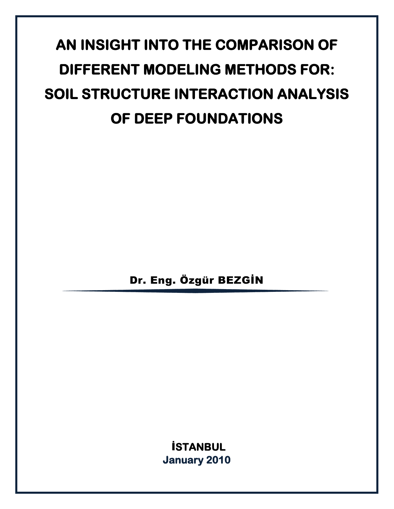# **AN INSIGHT INTO THE COMPARISON OF DIFFERENT MODELING METHODS FOR: SOIL STRUCTURE INTERACTION ANALYSIS OF DEEP FOUNDATIONS**

Dr. Eng. Özgür BEZGİN

İ**STANBUL January 2010**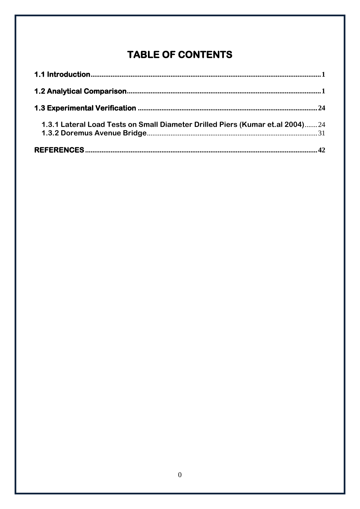# TABLE OF CONTENTS

| 1.3.1 Lateral Load Tests on Small Diameter Drilled Piers (Kumar et.al 2004)24 |  |
|-------------------------------------------------------------------------------|--|
|                                                                               |  |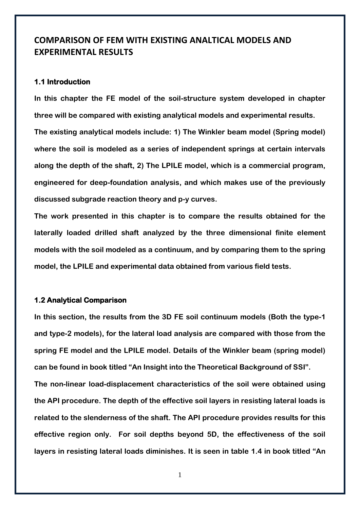# **COMPARISON OF FEM WITH EXISTING ANALTICAL MODELS AND EXPERIMENTAL RESULTS**

# <span id="page-2-0"></span>**1.1 Introduction**

**In this chapter the FE model of the soil-structure system developed in chapter three will be compared with existing analytical models and experimental results. The existing analytical models include: 1) The Winkler beam model (Spring model) where the soil is modeled as a series of independent springs at certain intervals along the depth of the shaft, 2) The LPILE model, which is a commercial program, engineered for deep-foundation analysis, and which makes use of the previously discussed subgrade reaction theory and p-y curves.**

**The work presented in this chapter is to compare the results obtained for the laterally loaded drilled shaft analyzed by the three dimensional finite element models with the soil modeled as a continuum, and by comparing them to the spring model, the LPILE and experimental data obtained from various field tests.**

### <span id="page-2-1"></span>**1.2 Analytical Comparison**

**In this section, the results from the 3D FE soil continuum models (Both the type-1 and type-2 models), for the lateral load analysis are compared with those from the spring FE model and the LPILE model. Details of the Winkler beam (spring model) can be found in book titled "An Insight into the Theoretical Background of SSI".** 

**The non-linear load-displacement characteristics of the soil were obtained using the API procedure. The depth of the effective soil layers in resisting lateral loads is related to the slenderness of the shaft. The API procedure provides results for this effective region only. For soil depths beyond 5D, the effectiveness of the soil layers in resisting lateral loads diminishes. It is seen in table 1.4 in book titled "An** 

1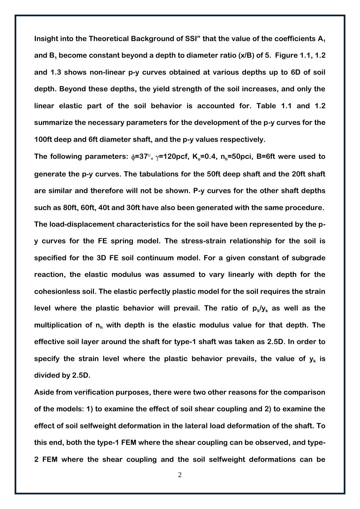Insight into the Theoretical Background of SSI" that the value of the coefficients A<sub>1</sub> **and B<sup>1</sup> become constant beyond a depth to diameter ratio (x/B) of 5. Figure 1.1, 1.2 and 1.3 shows non-linear p-y curves obtained at various depths up to 6D of soil depth. Beyond these depths, the yield strength of the soil increases, and only the linear elastic part of the soil behavior is accounted for. Table 1.1 and 1.2 summarize the necessary parameters for the development of the p-y curves for the 100ft deep and 6ft diameter shaft, and the p-y values respectively.**

The following parameters:  $\phi$ =37°,  $\gamma$ =120pcf, K<sub>o</sub>=0.4, n<sub>h</sub>=50pci, B=6ft were used to **generate the p-y curves. The tabulations for the 50ft deep shaft and the 20ft shaft are similar and therefore will not be shown. P-y curves for the other shaft depths such as 80ft, 60ft, 40t and 30ft have also been generated with the same procedure. The load-displacement characteristics for the soil have been represented by the py curves for the FE spring model. The stress-strain relationship for the soil is specified for the 3D FE soil continuum model. For a given constant of subgrade reaction, the elastic modulus was assumed to vary linearly with depth for the cohesionless soil. The elastic perfectly plastic model for the soil requires the strain**  level where the plastic behavior will prevail. The ratio of  $p_k/y_k$  as well as the **multiplication of n<sup>h</sup> with depth is the elastic modulus value for that depth. The effective soil layer around the shaft for type-1 shaft was taken as 2.5D. In order to**  specify the strain level where the plastic behavior prevails, the value of  $y_k$  is **divided by 2.5D.**

**Aside from verification purposes, there were two other reasons for the comparison of the models: 1) to examine the effect of soil shear coupling and 2) to examine the effect of soil selfweight deformation in the lateral load deformation of the shaft. To this end, both the type-1 FEM where the shear coupling can be observed, and type-2 FEM where the shear coupling and the soil selfweight deformations can be**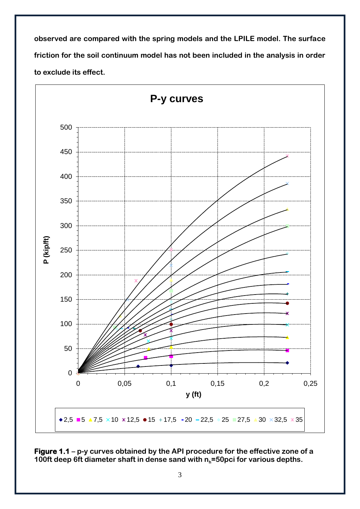**observed are compared with the spring models and the LPILE model. The surface friction for the soil continuum model has not been included in the analysis in order to exclude its effect.** 



**Figure 1.1 – p-y curves obtained by the API procedure for the effective zone of a 100ft deep 6ft diameter shaft in dense sand with nh=50pci for various depths.**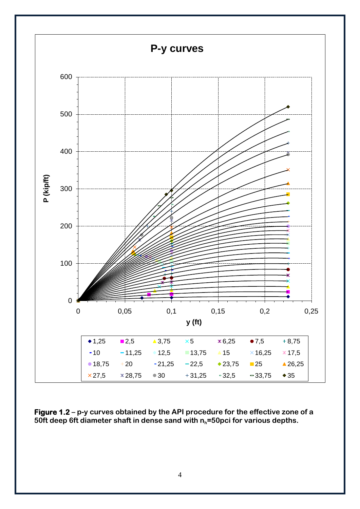

**Figure 1.2 – p-y curves obtained by the API procedure for the effective zone of a 50ft deep 6ft diameter shaft in dense sand with nh=50pci for various depths.**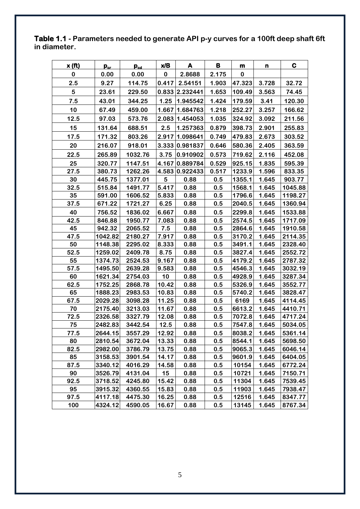**Table 1.1 - Parameters needed to generate API p-y curves for a 100ft deep shaft 6ft in diameter.**

| x(ft) | $\mathbf{p_{cr}}$ | $\mathbf{p}_{\text{cd}}$ | x/B   | A              | в     | m      | n     | C       |
|-------|-------------------|--------------------------|-------|----------------|-------|--------|-------|---------|
| 0     | 0.00              | 0.00                     | 0     | 2.8688         | 2.175 | 0      |       |         |
| 2.5   | 9.27              | 114.75                   | 0.417 | 2.54151        | 1.903 | 47.323 | 3.728 | 32.72   |
| 5     | 23.61             | 229.50                   |       | 0.833 2.232441 | 1.653 | 109.49 | 3.563 | 74.45   |
| 7.5   | 43.01             | 344.25                   | 1.25  | 1.945542       | 1.424 | 179.59 | 3.41  | 120.30  |
| 10    | 67.49             | 459.00                   |       | 1.667 1.684763 | 1.218 | 252.27 | 3.257 | 166.62  |
| 12.5  | 97.03             | 573.76                   |       | 2.083 1.454053 | 1.035 | 324.92 | 3.092 | 211.56  |
| 15    | 131.64            | 688.51                   | 2.5   | 1.257363       | 0.879 | 398.73 | 2.901 | 255.83  |
| 17.5  | 171.32            | 803.26                   |       | 2.917 1.098641 | 0.749 | 479.83 | 2.673 | 303.52  |
| 20    | 216.07            | 918.01                   |       | 3.333 0.981837 | 0.646 | 580.36 | 2.405 | 363.59  |
| 22.5  | 265.89            | 1032.76                  | 3.75  | 0.910902       | 0.573 | 719.62 | 2.116 | 452.08  |
| 25    | 320.77            | 1147.51                  |       | 4.167 0.889784 | 0.529 | 925.15 | 1.835 | 595.39  |
| 27.5  | 380.73            | 1262.26                  |       | 4.583 0.922433 | 0.517 | 1233.9 | 1.596 | 833.35  |
| 30    | 445.75            | 1377.01                  | 5     | 0.88           | 0.5   | 1355.1 | 1.645 | 903.77  |
| 32.5  | 515.84            | 1491.77                  | 5.417 | 0.88           | 0.5   | 1568.1 | 1.645 | 1045.88 |
| 35    | 591.00            | 1606.52                  | 5.833 | 0.88           | 0.5   | 1796.6 | 1.645 | 1198.27 |
| 37.5  | 671.22            | 1721.27                  | 6.25  | 0.88           | 0.5   | 2040.5 | 1.645 | 1360.94 |
| 40    | 756.52            | 1836.02                  | 6.667 | 0.88           | 0.5   | 2299.8 | 1.645 | 1533.88 |
| 42.5  | 846.88            | 1950.77                  | 7.083 | 0.88           | 0.5   | 2574.5 | 1.645 | 1717.09 |
| 45    | 942.32            | 2065.52                  | 7.5   | 0.88           | 0.5   | 2864.6 | 1.645 | 1910.58 |
| 47.5  | 1042.82           | 2180.27                  | 7.917 | 0.88           | 0.5   | 3170.2 | 1.645 | 2114.35 |
| 50    | 1148.38           | 2295.02                  | 8.333 | 0.88           | 0.5   | 3491.1 | 1.645 | 2328.40 |
| 52.5  | 1259.02           | 2409.78                  | 8.75  | 0.88           | 0.5   | 3827.4 | 1.645 | 2552.72 |
| 55    | 1374.73           | 2524.53                  | 9.167 | 0.88           | 0.5   | 4179.2 | 1.645 | 2787.32 |
| 57.5  | 1495.50           | 2639.28                  | 9.583 | 0.88           | 0.5   | 4546.3 | 1.645 | 3032.19 |
| 60    | 1621.34           | 2754.03                  | 10    | 0.88           | 0.5   | 4928.9 | 1.645 | 3287.34 |
| 62.5  | 1752.25           | 2868.78                  | 10.42 | 0.88           | 0.5   | 5326.9 | 1.645 | 3552.77 |
| 65    | 1888.23           | 2983.53                  | 10.83 | 0.88           | 0.5   | 5740.2 | 1.645 | 3828.47 |
| 67.5  | 2029.28           | 3098.28                  | 11.25 | 0.88           | 0.5   | 6169   | 1.645 | 4114.45 |
| 70    | 2175.40           | 3213.03                  | 11.67 | 0.88           | 0.5   | 6613.2 | 1.645 | 4410.71 |
| 72.5  | 2326.58           | 3327.79                  | 12.08 | 0.88           | 0.5   | 7072.8 | 1.645 | 4717.24 |
| 75    | 2482.83           | 3442.54                  | 12.5  | 0.88           | 0.5   | 7547.8 | 1.645 | 5034.05 |
| 77.5  | 2644.15           | 3557.29                  | 12.92 | 0.88           | 0.5   | 8038.2 | 1.645 | 5361.14 |
| 80    | 2810.54           | 3672.04                  | 13.33 | 0.88           | 0.5   | 8544.1 | 1.645 | 5698.50 |
| 82.5  | 2982.00           | 3786.79                  | 13.75 | 0.88           | 0.5   | 9065.3 | 1.645 | 6046.14 |
| 85    | 3158.53           | 3901.54                  | 14.17 | 0.88           | 0.5   | 9601.9 | 1.645 | 6404.05 |
| 87.5  | 3340.12           | 4016.29                  | 14.58 | 0.88           | 0.5   | 10154  | 1.645 | 6772.24 |
| 90    | 3526.79           | 4131.04                  | 15    | 0.88           | 0.5   | 10721  | 1.645 | 7150.71 |
| 92.5  | 3718.52           | 4245.80                  | 15.42 | 0.88           | 0.5   | 11304  | 1.645 | 7539.45 |
| 95    | 3915.32           | 4360.55                  | 15.83 | 0.88           | 0.5   | 11903  | 1.645 | 7938.47 |
| 97.5  | 4117.18           | 4475.30                  | 16.25 | 0.88           | 0.5   | 12516  | 1.645 | 8347.77 |
| 100   | 4324.12           | 4590.05                  | 16.67 | 0.88           | 0.5   | 13145  | 1.645 | 8767.34 |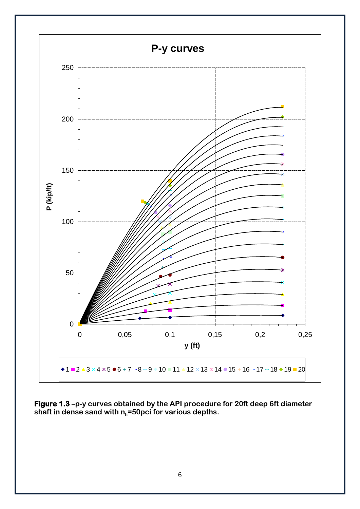

**Figure 1.3 –p-y curves obtained by the API procedure for 20ft deep 6ft diameter shaft in dense sand with nh=50pci for various depths.**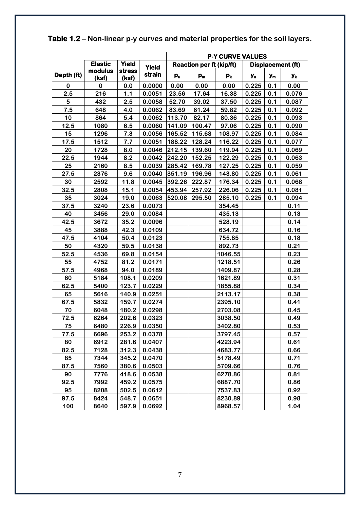|            |                  |                 |        | <b>P-Y CURVE VALUES</b>                                     |        |                           |                |       |       |
|------------|------------------|-----------------|--------|-------------------------------------------------------------|--------|---------------------------|----------------|-------|-------|
|            | <b>Elastic</b>   | <b>Yield</b>    | Yield  | <b>Reaction per ft (kip/ft)</b><br><b>Displacement (ft)</b> |        |                           |                |       |       |
| Depth (ft) | modulus<br>(ksf) | stress<br>(ksf) | strain | $\mathbf{p}_\mathbf{u}$                                     | $p_m$  | $\mathsf{p}_{\mathsf{k}}$ | y <sub>u</sub> | $y_m$ | Уĸ    |
| $\bf{0}$   | 0                | 0.0             | 0.0000 | 0.00                                                        | 0.00   | 0.00                      | 0.225          | 0.1   | 0.00  |
| 2.5        | 216              | 1.1             | 0.0051 | 23.56                                                       | 17.64  | 16.38                     | 0.225          | 0.1   | 0.076 |
| 5          | 432              | 2.5             | 0.0058 | 52.70                                                       | 39.02  | 37.50                     | 0.225          | 0.1   | 0.087 |
| 7.5        | 648              | 4.0             | 0.0062 | 83.69                                                       | 61.24  | 59.82                     | 0.225          | 0.1   | 0.092 |
| 10         | 864              | 5.4             | 0.0062 | 113.70                                                      | 82.17  | 80.36                     | 0.225          | 0.1   | 0.093 |
| 12.5       | 1080             | 6.5             | 0.0060 | 141.09                                                      | 100.47 | 97.06                     | 0.225          | 0.1   | 0.090 |
| 15         | 1296             | 7.3             | 0.0056 | 165.52                                                      | 115.68 | 108.97                    | 0.225          | 0.1   | 0.084 |
| 17.5       | 1512             | 7.7             | 0.0051 | 188.22                                                      | 128.24 | 116.22                    | 0.225          | 0.1   | 0.077 |
| 20         | 1728             | 8.0             | 0.0046 | 212.15                                                      | 139.60 | 119.94                    | 0.225          | 0.1   | 0.069 |
| 22.5       | 1944             | 8.2             | 0.0042 | 242.20                                                      | 152.25 | 122.29                    | 0.225          | 0.1   | 0.063 |
| 25         | 2160             | 8.5             | 0.0039 | 285.42                                                      | 169.78 | 127.25                    | 0.225          | 0.1   | 0.059 |
| 27.5       | 2376             | 9.6             | 0.0040 | 351.19                                                      | 196.96 | 143.80                    | 0.225          | 0.1   | 0.061 |
| 30         | 2592             | 11.8            | 0.0045 | 392.26                                                      | 222.87 | 176.34                    | 0.225          | 0.1   | 0.068 |
| 32.5       | 2808             | 15.1            | 0.0054 | 453.94                                                      | 257.92 | 226.06                    | 0.225          | 0.1   | 0.081 |
| 35         | 3024             | 19.0            | 0.0063 | 520.08                                                      | 295.50 | 285.10                    | 0.225          | 0.1   | 0.094 |
| 37.5       | 3240             | 23.6            | 0.0073 |                                                             |        | 354.45                    |                |       | 0.11  |
| 40         | 3456             | 29.0            | 0.0084 |                                                             |        | 435.13                    |                |       | 0.13  |
| 42.5       | 3672             | 35.2            | 0.0096 |                                                             |        | 528.19                    |                |       | 0.14  |
| 45         | 3888             | 42.3            | 0.0109 |                                                             |        | 634.72                    |                |       | 0.16  |
| 47.5       | 4104             | 50.4            | 0.0123 |                                                             |        | 755.85                    |                |       | 0.18  |
| 50         | 4320             | 59.5            | 0.0138 |                                                             |        | 892.73                    |                |       | 0.21  |
| 52.5       | 4536             | 69.8            | 0.0154 |                                                             |        | 1046.55                   |                |       | 0.23  |
| 55         | 4752             | 81.2            | 0.0171 |                                                             |        | 1218.51                   |                |       | 0.26  |
| 57.5       | 4968             | 94.0            | 0.0189 |                                                             |        | 1409.87                   |                |       | 0.28  |
| 60         | 5184             | 108.1           | 0.0209 |                                                             |        | 1621.89                   |                |       | 0.31  |
| 62.5       | 5400             | 123.7           | 0.0229 |                                                             |        | 1855.88                   |                |       | 0.34  |
| 65         | 5616             | 140.9           | 0.0251 |                                                             |        | 2113.17                   |                |       | 0.38  |
| 67.5       | 5832             | 159.7           | 0.0274 |                                                             |        | 2395.10                   |                |       | 0.41  |
| 70         | 6048             | 180.2           | 0.0298 |                                                             |        | 2703.08                   |                |       | 0.45  |
| 72.5       | 6264             | 202.6           | 0.0323 |                                                             |        | 3038.50                   |                |       | 0.49  |
| 75         | 6480             | 226.9           | 0.0350 |                                                             |        | 3402.80                   |                |       | 0.53  |
| 77.5       | 6696             | 253.2           | 0.0378 |                                                             |        | 3797.45                   |                |       | 0.57  |
| 80         | 6912             | 281.6           | 0.0407 |                                                             |        | 4223.94                   |                |       | 0.61  |
| 82.5       | 7128             | 312.3           | 0.0438 |                                                             |        | 4683.77                   |                |       | 0.66  |
| 85         | 7344             | 345.2           | 0.0470 |                                                             |        | 5178.49                   |                |       | 0.71  |
| 87.5       | 7560             | 380.6           | 0.0503 |                                                             |        | 5709.66                   |                |       | 0.76  |
| 90         | 7776             | 418.6           | 0.0538 |                                                             |        | 6278.86                   |                |       | 0.81  |
| 92.5       | 7992             | 459.2           | 0.0575 |                                                             |        | 6887.70                   |                |       | 0.86  |
| 95         | 8208             | 502.5           | 0.0612 |                                                             |        | 7537.83                   |                |       | 0.92  |
| 97.5       | 8424             | 548.7           | 0.0651 |                                                             |        | 8230.89                   |                |       | 0.98  |
| 100        | 8640             | 597.9           | 0.0692 |                                                             |        | 8968.57                   |                |       | 1.04  |

**Table 1.2 – Non-linear p-y curves and material properties for the soil layers.**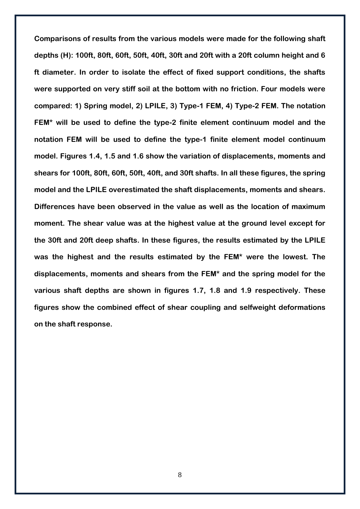**Comparisons of results from the various models were made for the following shaft depths (H): 100ft, 80ft, 60ft, 50ft, 40ft, 30ft and 20ft with a 20ft column height and 6 ft diameter. In order to isolate the effect of fixed support conditions, the shafts were supported on very stiff soil at the bottom with no friction. Four models were compared: 1) Spring model, 2) LPILE, 3) Type-1 FEM, 4) Type-2 FEM. The notation FEM\* will be used to define the type-2 finite element continuum model and the notation FEM will be used to define the type-1 finite element model continuum model. Figures 1.4, 1.5 and 1.6 show the variation of displacements, moments and shears for 100ft, 80ft, 60ft, 50ft, 40ft, and 30ft shafts. In all these figures, the spring model and the LPILE overestimated the shaft displacements, moments and shears. Differences have been observed in the value as well as the location of maximum moment. The shear value was at the highest value at the ground level except for the 30ft and 20ft deep shafts. In these figures, the results estimated by the LPILE was the highest and the results estimated by the FEM\* were the lowest. The displacements, moments and shears from the FEM\* and the spring model for the various shaft depths are shown in figures 1.7, 1.8 and 1.9 respectively. These figures show the combined effect of shear coupling and selfweight deformations on the shaft response.**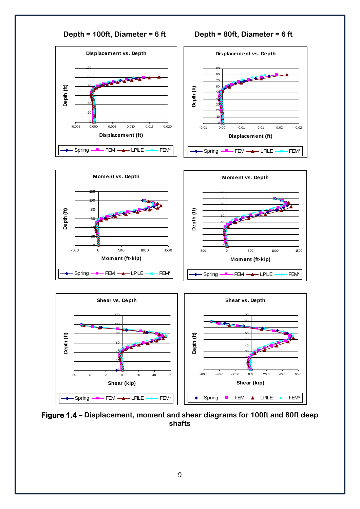

**Figure 1.4 – Displacement, moment and shear diagrams for 100ft and 80ft deep shafts**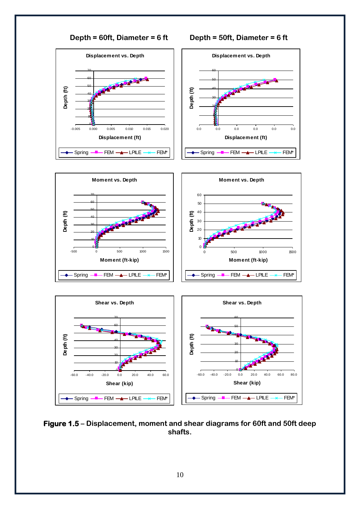

**Figure 1.5 – Displacement, moment and shear diagrams for 60ft and 50ft deep shafts.**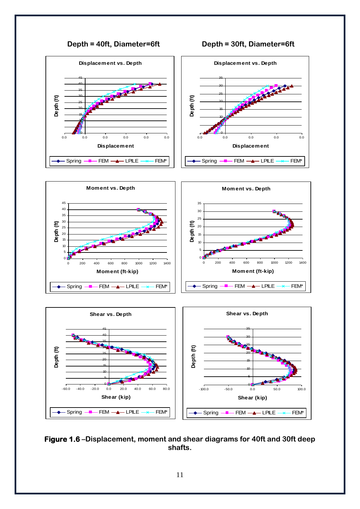









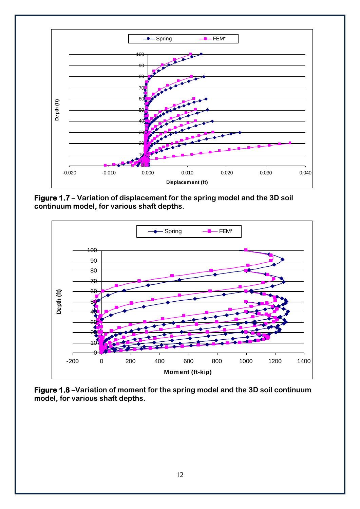

**Figure 1.7 – Variation of displacement for the spring model and the 3D soil continuum model, for various shaft depths.**



**Figure 1.8 –Variation of moment for the spring model and the 3D soil continuum model, for various shaft depths.**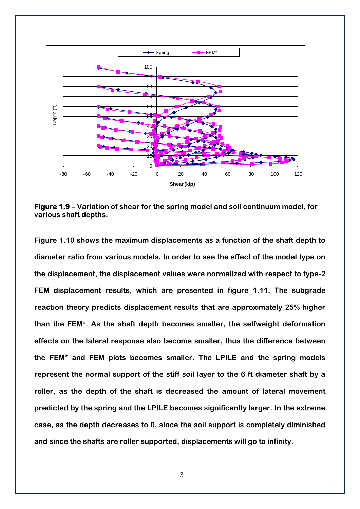

**Figure 1.9 – Variation of shear for the spring model and soil continuum model, for various shaft depths.**

**Figure 1.10 shows the maximum displacements as a function of the shaft depth to diameter ratio from various models. In order to see the effect of the model type on the displacement, the displacement values were normalized with respect to type-2 FEM displacement results, which are presented in figure 1.11. The subgrade reaction theory predicts displacement results that are approximately 25% higher than the FEM\*. As the shaft depth becomes smaller, the selfweight deformation effects on the lateral response also become smaller, thus the difference between the FEM\* and FEM plots becomes smaller. The LPILE and the spring models represent the normal support of the stiff soil layer to the 6 ft diameter shaft by a roller, as the depth of the shaft is decreased the amount of lateral movement predicted by the spring and the LPILE becomes significantly larger. In the extreme case, as the depth decreases to 0, since the soil support is completely diminished and since the shafts are roller supported, displacements will go to infinity.**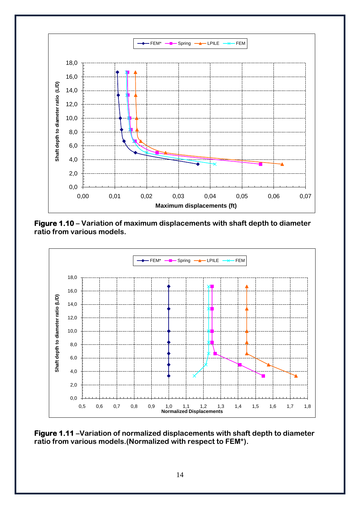

**Figure 1.10 – Variation of maximum displacements with shaft depth to diameter ratio from various models.**



**Figure 1.11 –Variation of normalized displacements with shaft depth to diameter ratio from various models.(Normalized with respect to FEM\*).**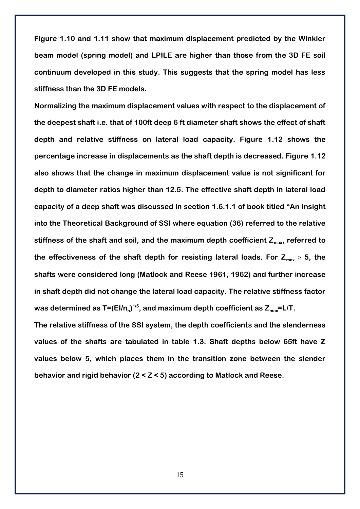**Figure 1.10 and 1.11 show that maximum displacement predicted by the Winkler beam model (spring model) and LPILE are higher than those from the 3D FE soil continuum developed in this study. This suggests that the spring model has less stiffness than the 3D FE models.**

**Normalizing the maximum displacement values with respect to the displacement of the deepest shaft i.e. that of 100ft deep 6 ft diameter shaft shows the effect of shaft depth and relative stiffness on lateral load capacity. Figure 1.12 shows the percentage increase in displacements as the shaft depth is decreased. Figure 1.12 also shows that the change in maximum displacement value is not significant for depth to diameter ratios higher than 12.5. The effective shaft depth in lateral load capacity of a deep shaft was discussed in section 1.6.1.1 of book titled "An Insight into the Theoretical Background of SSI where equation (36) referred to the relative stiffness of the shaft and soil, and the maximum depth coefficient Zmax, referred to**  the effectiveness of the shaft depth for resisting lateral loads. For  $Z_{max} \geq 5$ , the **shafts were considered long (Matlock and Reese 1961, 1962) and further increase in shaft depth did not change the lateral load capacity. The relative stiffness factor was determined as T=(EI/n<sup>h</sup> ) 1/5, and maximum depth coefficient as Zmax=L/T.**

**The relative stiffness of the SSI system, the depth coefficients and the slenderness values of the shafts are tabulated in table 1.3. Shaft depths below 65ft have Z values below 5, which places them in the transition zone between the slender behavior and rigid behavior (2 < Z < 5) according to Matlock and Reese.**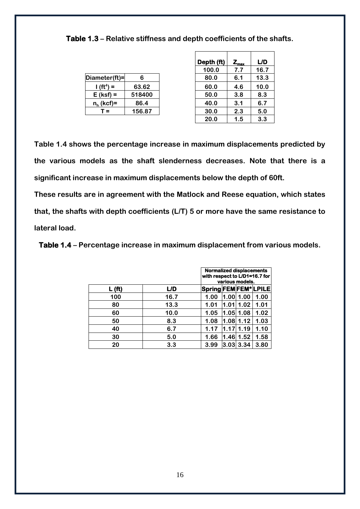**Table 1.3 – Relative stiffness and depth coefficients of the shafts.**

|                |        | TUU.U | $\mathbf{I} \cdot \mathbf{I}$ | 10.7 |
|----------------|--------|-------|-------------------------------|------|
| Diameter(ft)=  |        | 80.0  | 6.1                           | 13.3 |
| $(f(t^4)) =$   | 63.62  | 60.0  | 4.6                           | 10.0 |
| $E$ (ksf) =    | 518400 | 50.0  | 3.8                           | 8.3  |
| $n_h$ (kcf)=   | 86.4   | 40.0  | 3.1                           | 6.7  |
| $\mathsf{r} =$ | 156.87 | 30.0  | 2.3                           | 5.0  |
|                |        | ---   |                               | - -  |

|                       |        | Depth (ft) | $Z_{\rm max}$ | L/D  |
|-----------------------|--------|------------|---------------|------|
|                       |        | 100.0      | 7.7           | 16.7 |
| ameter(ft)=           | 6      | 80.0       | 6.1           | 13.3 |
| $1 (ft4) =$           | 63.62  | 60.0       | 4.6           | 10.0 |
| $E$ (ksf) =           | 518400 | 50.0       | 3.8           | 8.3  |
| n <sub>h</sub> (kcf)= | 86.4   | 40.0       | 3.1           | 6.7  |
| $T =$                 | 156.87 | 30.0       | 2.3           | 5.0  |
|                       |        | 20.0       | 1.5           | 3.3  |

**Table 1.4 shows the percentage increase in maximum displacements predicted by the various models as the shaft slenderness decreases. Note that there is a significant increase in maximum displacements below the depth of 60ft.**

**These results are in agreement with the Matlock and Reese equation, which states that, the shafts with depth coefficients (L/T) 5 or more have the same resistance to lateral load.**

**Table 1.4 – Percentage increase in maximum displacement from various models.**

|                    |      | <b>Normalized displacements</b><br>with respect to L/D1=16.7 for<br>various models. |                   |      |      |  |
|--------------------|------|-------------------------------------------------------------------------------------|-------------------|------|------|--|
| L(f <sub>t</sub> ) | L/D  | Spring FEM FEM* LPILE                                                               |                   |      |      |  |
| 100                | 16.7 | 1.00                                                                                | 1.001             | 1.00 | 1.00 |  |
| 80                 | 13.3 | 1.01                                                                                | 1.01              | 1.02 | 1.01 |  |
| 60                 | 10.0 | 1.05                                                                                | 1.051             | 1.08 | 1.02 |  |
| 50                 | 8.3  | 1.08                                                                                | 1.081             | 1.12 | 1.03 |  |
| 40                 | 6.7  | 1.17                                                                                | 1.17              | 1.19 | 1.10 |  |
| 30                 | 5.0  | 1.66                                                                                | 1.46 <sub>l</sub> | 1.52 | 1.58 |  |
| 20                 | 3.3  | 3.99                                                                                | l3.03l            | 3.34 | 3.80 |  |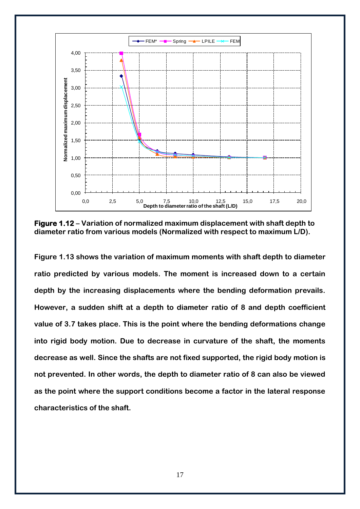

**Figure 1.12 – Variation of normalized maximum displacement with shaft depth to diameter ratio from various models (Normalized with respect to maximum L/D).**

**Figure 1.13 shows the variation of maximum moments with shaft depth to diameter ratio predicted by various models. The moment is increased down to a certain depth by the increasing displacements where the bending deformation prevails. However, a sudden shift at a depth to diameter ratio of 8 and depth coefficient value of 3.7 takes place. This is the point where the bending deformations change into rigid body motion. Due to decrease in curvature of the shaft, the moments decrease as well. Since the shafts are not fixed supported, the rigid body motion is not prevented. In other words, the depth to diameter ratio of 8 can also be viewed as the point where the support conditions become a factor in the lateral response characteristics of the shaft.**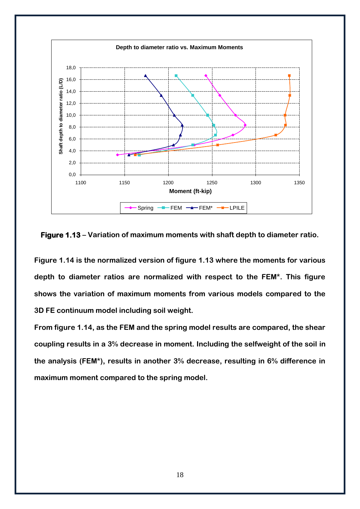

**Figure 1.13 – Variation of maximum moments with shaft depth to diameter ratio.**

**Figure 1.14 is the normalized version of figure 1.13 where the moments for various depth to diameter ratios are normalized with respect to the FEM\*. This figure shows the variation of maximum moments from various models compared to the 3D FE continuum model including soil weight.**

**From figure 1.14, as the FEM and the spring model results are compared, the shear coupling results in a 3% decrease in moment. Including the selfweight of the soil in the analysis (FEM\*), results in another 3% decrease, resulting in 6% difference in maximum moment compared to the spring model.**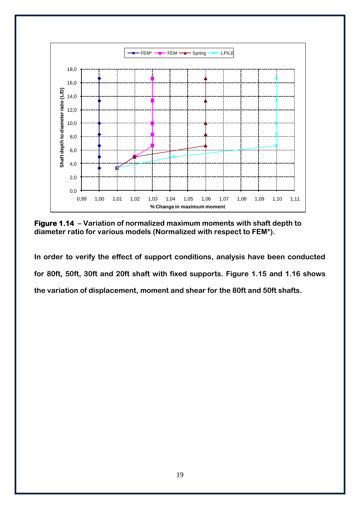

**Figure 1.14 – Variation of normalized maximum moments with shaft depth to diameter ratio for various models (Normalized with respect to FEM\*).**

**In order to verify the effect of support conditions, analysis have been conducted for 80ft, 50ft, 30ft and 20ft shaft with fixed supports. Figure 1.15 and 1.16 shows the variation of displacement, moment and shear for the 80ft and 50ft shafts.**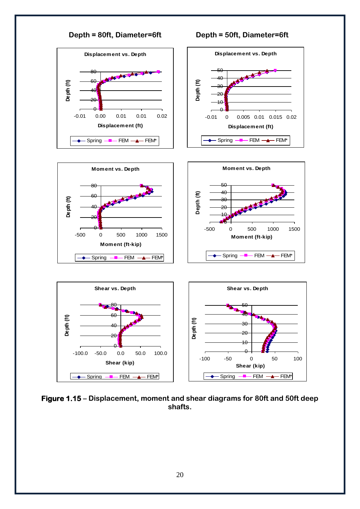

**Figure 1.15 – Displacement, moment and shear diagrams for 80ft and 50ft deep shafts.**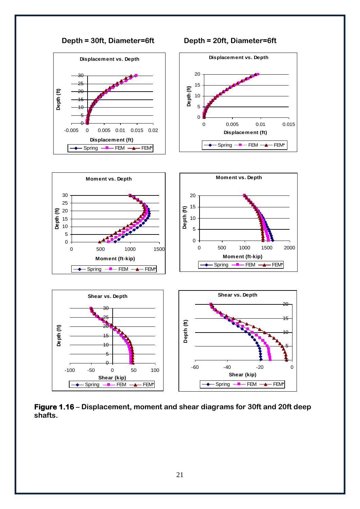

**Figure 1.16 – Displacement, moment and shear diagrams for 30ft and 20ft deep shafts.**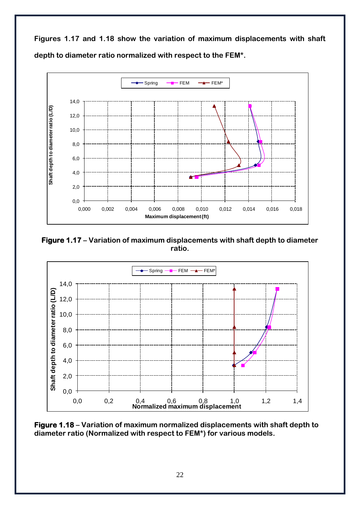**Figures 1.17 and 1.18 show the variation of maximum displacements with shaft depth to diameter ratio normalized with respect to the FEM\*.** 



**Figure 1.17 – Variation of maximum displacements with shaft depth to diameter ratio.**



**Figure 1.18 – Variation of maximum normalized displacements with shaft depth to diameter ratio (Normalized with respect to FEM\*) for various models.**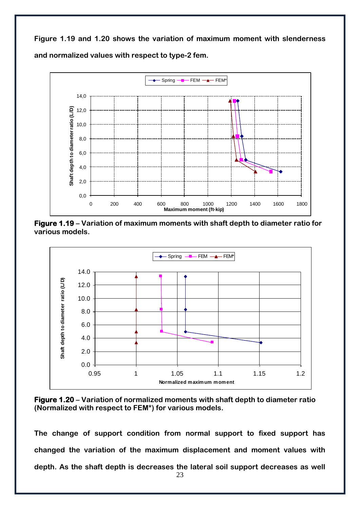**Figure 1.19 and 1.20 shows the variation of maximum moment with slenderness and normalized values with respect to type-2 fem.**



**Figure 1.19 – Variation of maximum moments with shaft depth to diameter ratio for various models.**



**Figure 1.20 – Variation of normalized moments with shaft depth to diameter ratio (Normalized with respect to FEM\*) for various models.**

**The change of support condition from normal support to fixed support has changed the variation of the maximum displacement and moment values with depth. As the shaft depth is decreases the lateral soil support decreases as well**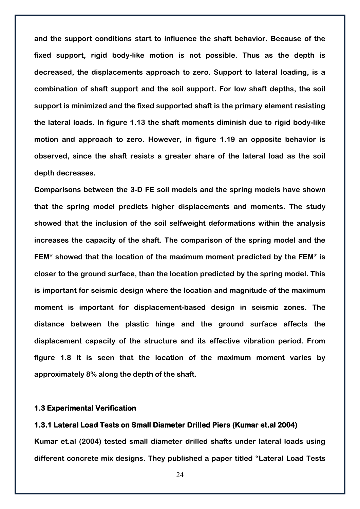**and the support conditions start to influence the shaft behavior. Because of the fixed support, rigid body-like motion is not possible. Thus as the depth is decreased, the displacements approach to zero. Support to lateral loading, is a combination of shaft support and the soil support. For low shaft depths, the soil support is minimized and the fixed supported shaft is the primary element resisting the lateral loads. In figure 1.13 the shaft moments diminish due to rigid body-like motion and approach to zero. However, in figure 1.19 an opposite behavior is observed, since the shaft resists a greater share of the lateral load as the soil depth decreases.**

**Comparisons between the 3-D FE soil models and the spring models have shown that the spring model predicts higher displacements and moments. The study showed that the inclusion of the soil selfweight deformations within the analysis increases the capacity of the shaft. The comparison of the spring model and the FEM\* showed that the location of the maximum moment predicted by the FEM\* is closer to the ground surface, than the location predicted by the spring model. This is important for seismic design where the location and magnitude of the maximum moment is important for displacement-based design in seismic zones. The distance between the plastic hinge and the ground surface affects the displacement capacity of the structure and its effective vibration period. From figure 1.8 it is seen that the location of the maximum moment varies by approximately 8% along the depth of the shaft.** 

# <span id="page-25-0"></span>**1.3 Experimental Verification**

### <span id="page-25-1"></span>**1.3.1 Lateral Load Tests on Small Diameter Drilled Piers (Kumar et.al 2004)**

**Kumar et.al (2004) tested small diameter drilled shafts under lateral loads using different concrete mix designs. They published a paper titled "Lateral Load Tests**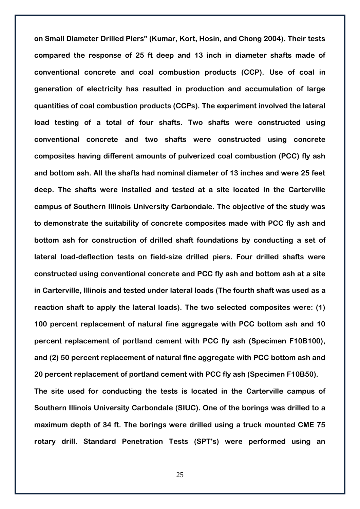**on Small Diameter Drilled Piers" (Kumar, Kort, Hosin, and Chong 2004). Their tests compared the response of 25 ft deep and 13 inch in diameter shafts made of conventional concrete and coal combustion products (CCP). Use of coal in generation of electricity has resulted in production and accumulation of large quantities of coal combustion products (CCPs). The experiment involved the lateral load testing of a total of four shafts. Two shafts were constructed using conventional concrete and two shafts were constructed using concrete composites having different amounts of pulverized coal combustion (PCC) fly ash and bottom ash. All the shafts had nominal diameter of 13 inches and were 25 feet deep. The shafts were installed and tested at a site located in the Carterville campus of Southern Illinois University Carbondale. The objective of the study was to demonstrate the suitability of concrete composites made with PCC fly ash and bottom ash for construction of drilled shaft foundations by conducting a set of lateral load-deflection tests on field-size drilled piers. Four drilled shafts were constructed using conventional concrete and PCC fly ash and bottom ash at a site in Carterville, Illinois and tested under lateral loads (The fourth shaft was used as a reaction shaft to apply the lateral loads). The two selected composites were: (1) 100 percent replacement of natural fine aggregate with PCC bottom ash and 10 percent replacement of portland cement with PCC fly ash (Specimen F10B100), and (2) 50 percent replacement of natural fine aggregate with PCC bottom ash and 20 percent replacement of portland cement with PCC fly ash (Specimen F10B50). The site used for conducting the tests is located in the Carterville campus of Southern Illinois University Carbondale (SIUC). One of the borings was drilled to a maximum depth of 34 ft. The borings were drilled using a truck mounted CME 75** 

25

**rotary drill. Standard Penetration Tests (SPT's) were performed using an**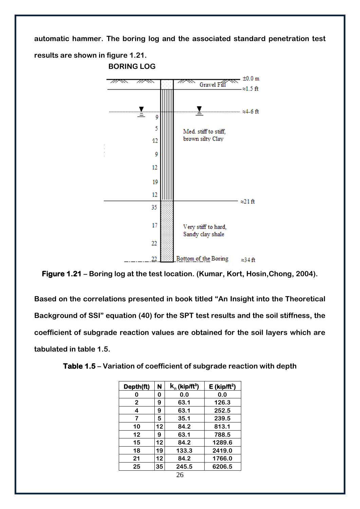**automatic hammer. The boring log and the associated standard penetration test** 

**results are shown in figure 1.21. BORING LOG**



**Figure 1.21 – Boring log at the test location. (Kumar, Kort, Hosin,Chong, 2004).**

**Based on the correlations presented in book titled "An Insight into the Theoretical Background of SSI" equation (40) for the SPT test results and the soil stiffness, the coefficient of subgrade reaction values are obtained for the soil layers which are tabulated in table 1.5.** 

| Depth(ft)      | N  | $k_n$ (kip/ft <sup>3</sup> ) | $E$ (kip/ft <sup>2</sup> ) |
|----------------|----|------------------------------|----------------------------|
| 0              | 0  | 0.0                          | 0.0                        |
| $\overline{2}$ | 9  | 63.1                         | 126.3                      |
| 4              | 9  | 63.1                         | 252.5                      |
| 7              | 5  | 35.1                         | 239.5                      |
| 10             | 12 | 84.2                         | 813.1                      |
| 12             | 9  | 63.1                         | 788.5                      |
| 15             | 12 | 84.2                         | 1289.6                     |
| 18             | 19 | 133.3                        | 2419.0                     |
| 21             | 12 | 84.2                         | 1766.0                     |
| 25             | 35 | 245.5                        | 6206.5                     |

**Table 1.5 – Variation of coefficient of subgrade reaction with depth**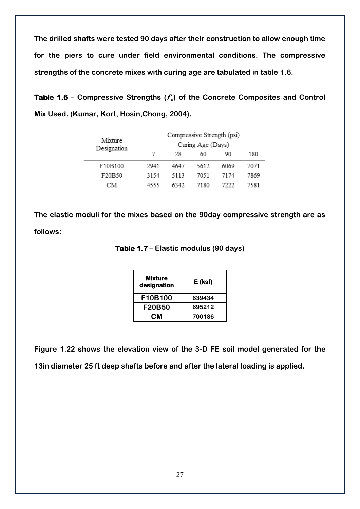**The drilled shafts were tested 90 days after their construction to allow enough time for the piers to cure under field environmental conditions. The compressive strengths of the concrete mixes with curing age are tabulated in table 1.6.**

**Table 1.6 – Compressive Strengths (f'<sup>c</sup> ) of the Concrete Composites and Control Mix Used. (Kumar, Kort, Hosin,Chong, 2004).**

| Mixture     | Compressive Strength (psi) |      |      |      |      |  |  |  |
|-------------|----------------------------|------|------|------|------|--|--|--|
| Designation | Curing Age (Days)          |      |      |      |      |  |  |  |
|             | 7                          | 28   | 60   | 90   | 180  |  |  |  |
| F10B100     | 2941                       | 4647 | 5612 | 6069 | 7071 |  |  |  |
| F20B50      | 3154                       | 5113 | 7051 | 7174 | 7869 |  |  |  |
| CМ          | 4555                       | 6342 | 7180 | 7222 | 7581 |  |  |  |

**The elastic moduli for the mixes based on the 90day compressive strength are as follows:**

| Mixture<br>designation | E (ksf) |
|------------------------|---------|
| F10B100                | 639434  |
| <b>F20B50</b>          | 695212  |
| CМ                     | 700186  |

**Figure 1.22 shows the elevation view of the 3-D FE soil model generated for the 13in diameter 25 ft deep shafts before and after the lateral loading is applied.**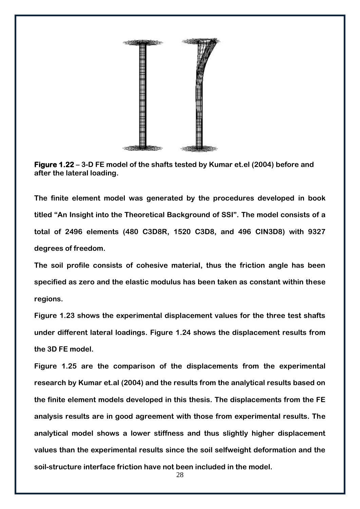

**Figure 1.22 – 3-D FE model of the shafts tested by Kumar et.el (2004) before and after the lateral loading.**

**The finite element model was generated by the procedures developed in book titled "An Insight into the Theoretical Background of SSI". The model consists of a total of 2496 elements (480 C3D8R, 1520 C3D8, and 496 CIN3D8) with 9327 degrees of freedom.**

**The soil profile consists of cohesive material, thus the friction angle has been specified as zero and the elastic modulus has been taken as constant within these regions.**

**Figure 1.23 shows the experimental displacement values for the three test shafts under different lateral loadings. Figure 1.24 shows the displacement results from the 3D FE model.**

**Figure 1.25 are the comparison of the displacements from the experimental research by Kumar et.al (2004) and the results from the analytical results based on the finite element models developed in this thesis. The displacements from the FE analysis results are in good agreement with those from experimental results. The analytical model shows a lower stiffness and thus slightly higher displacement values than the experimental results since the soil selfweight deformation and the soil-structure interface friction have not been included in the model.**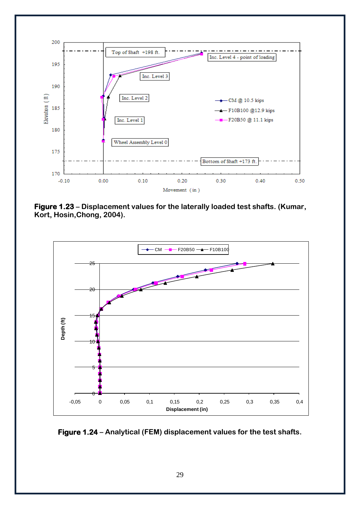

**Figure 1.23 – Displacement values for the laterally loaded test shafts. (Kumar, Kort, Hosin,Chong, 2004).**



**Figure 1.24 – Analytical (FEM) displacement values for the test shafts.**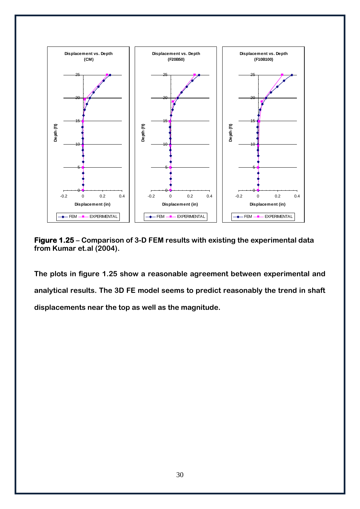

**Figure 1.25 – Comparison of 3-D FEM results with existing the experimental data from Kumar et.al (2004).**

**The plots in figure 1.25 show a reasonable agreement between experimental and analytical results. The 3D FE model seems to predict reasonably the trend in shaft displacements near the top as well as the magnitude.**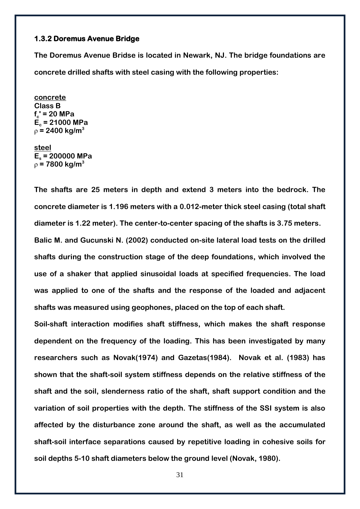# <span id="page-32-0"></span>**1.3.2 Doremus Avenue Bridge**

**The Doremus Avenue Bridse is located in Newark, NJ. The bridge foundations are concrete drilled shafts with steel casing with the following properties:**

**concrete Class B fc ' = 20 MPa E<sup>c</sup> = 21000 MPa** ρ **= 2400 kg/m<sup>3</sup>**

**steel E<sup>s</sup> = 200000 MPa** ρ **= 7800 kg/m<sup>3</sup>**

**The shafts are 25 meters in depth and extend 3 meters into the bedrock. The concrete diameter is 1.196 meters with a 0.012-meter thick steel casing (total shaft diameter is 1.22 meter). The center-to-center spacing of the shafts is 3.75 meters. Balic M. and Gucunski N. (2002) conducted on-site lateral load tests on the drilled shafts during the construction stage of the deep foundations, which involved the use of a shaker that applied sinusoidal loads at specified frequencies. The load was applied to one of the shafts and the response of the loaded and adjacent** 

**shafts was measured using geophones, placed on the top of each shaft.**

**Soil-shaft interaction modifies shaft stiffness, which makes the shaft response dependent on the frequency of the loading. This has been investigated by many researchers such as Novak(1974) and Gazetas(1984). Novak et al. (1983) has shown that the shaft-soil system stiffness depends on the relative stiffness of the shaft and the soil, slenderness ratio of the shaft, shaft support condition and the variation of soil properties with the depth. The stiffness of the SSI system is also affected by the disturbance zone around the shaft, as well as the accumulated shaft-soil interface separations caused by repetitive loading in cohesive soils for soil depths 5-10 shaft diameters below the ground level (Novak, 1980).** 

31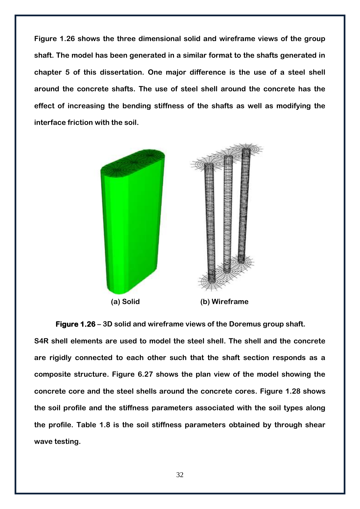**Figure 1.26 shows the three dimensional solid and wireframe views of the group shaft. The model has been generated in a similar format to the shafts generated in chapter 5 of this dissertation. One major difference is the use of a steel shell around the concrete shafts. The use of steel shell around the concrete has the effect of increasing the bending stiffness of the shafts as well as modifying the interface friction with the soil.** 



**Figure 1.26 – 3D solid and wireframe views of the Doremus group shaft.**

**S4R shell elements are used to model the steel shell. The shell and the concrete are rigidly connected to each other such that the shaft section responds as a composite structure. Figure 6.27 shows the plan view of the model showing the concrete core and the steel shells around the concrete cores. Figure 1.28 shows the soil profile and the stiffness parameters associated with the soil types along the profile. Table 1.8 is the soil stiffness parameters obtained by through shear wave testing.**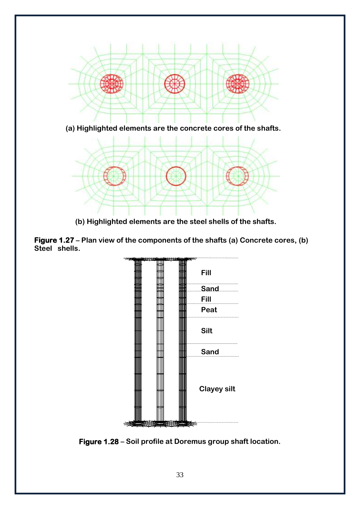

**(a) Highlighted elements are the concrete cores of the shafts.**



**(b) Highlighted elements are the steel shells of the shafts.**

**Figure 1.27 – Plan view of the components of the shafts (a) Concrete cores, (b) Steel shells.**



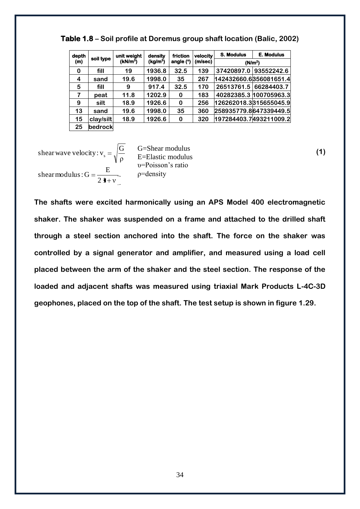| depth |           | unit weight          | density              | friction    | velocity | <b>S. Modulus</b> | <b>E. Modulus</b>      |
|-------|-----------|----------------------|----------------------|-------------|----------|-------------------|------------------------|
| (m)   | soil type | (kN/m <sup>3</sup> ) | (kg/m <sup>3</sup> ) | angle $(°)$ | (m/sec)  |                   | (N/m <sup>2</sup> )    |
| 0     | fill      | 19                   | 1936.8               | 32.5        | 139      | 37420897.0        | 93552242.6             |
| 4     | sand      | 19.6                 | 1998.0               | 35          | 267      |                   | 142432660.6356081651.4 |
| 5     | fill      | 9                    | 917.4                | 32.5        | 170      | 26513761.5        | 66284403.7             |
|       | peat      | 11.8                 | 1202.9               | 0           | 183      |                   | 40282385.3 100705963.3 |
| 9     | silt      | 18.9                 | 1926.6               | $\bf{0}$    | 256      |                   | 126262018.3315655045.9 |
| 13    | sand      | 19.6                 | 1998.0               | 35          | 360      |                   | 258935779.8647339449.5 |
| 15    | clay/silt | 18.9                 | 1926.6               | 0           | 320      |                   | 197284403.7493211009.2 |
| 25    | bedrock   |                      |                      |             |          |                   |                        |

**Table 1.8 – Soil profile at Doremus group shaft location (Balic, 2002)**

 $2 + v$ shear modulus:  $G = \frac{E}{2\pi}$ ρ shear wave velocity:  $v_s = \sqrt{\frac{G}{c^2}}$ 

G=Shear modulus E=Elastic modulus

υ=Poisson's ratio ρ=density

**The shafts were excited harmonically using an APS Model 400 electromagnetic shaker. The shaker was suspended on a frame and attached to the drilled shaft through a steel section anchored into the shaft. The force on the shaker was controlled by a signal generator and amplifier, and measured using a load cell placed between the arm of the shaker and the steel section. The response of the loaded and adjacent shafts was measured using triaxial Mark Products L-4C-3D geophones, placed on the top of the shaft. The test setup is shown in figure 1.29.**

**(1)**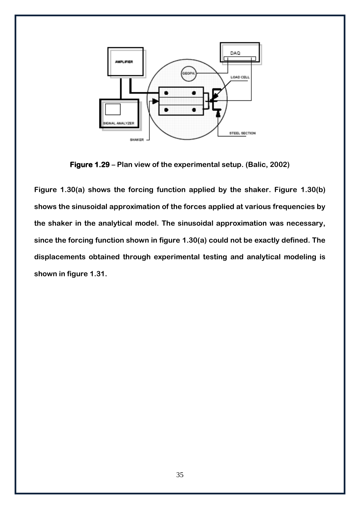

**Figure 1.29 – Plan view of the experimental setup. (Balic, 2002)**

**Figure 1.30(a) shows the forcing function applied by the shaker. Figure 1.30(b) shows the sinusoidal approximation of the forces applied at various frequencies by the shaker in the analytical model. The sinusoidal approximation was necessary, since the forcing function shown in figure 1.30(a) could not be exactly defined. The displacements obtained through experimental testing and analytical modeling is shown in figure 1.31.**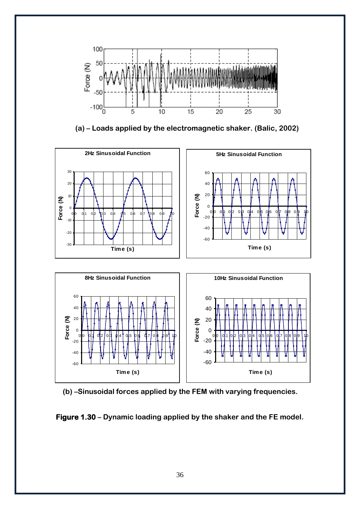

**(a) – Loads applied by the electromagnetic shaker. (Balic, 2002)**







**Figure 1.30 – Dynamic loading applied by the shaker and the FE model.**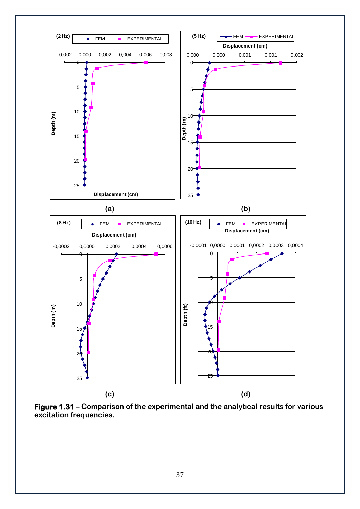

**Figure 1.31 – Comparison of the experimental and the analytical results for various excitation frequencies.**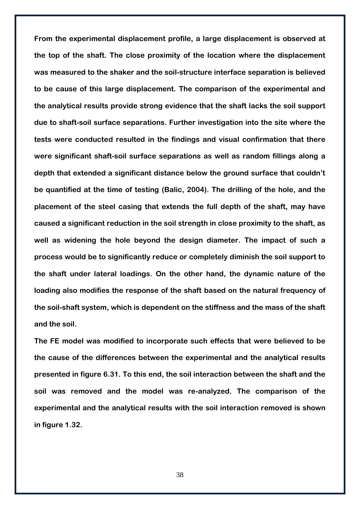**From the experimental displacement profile, a large displacement is observed at the top of the shaft. The close proximity of the location where the displacement was measured to the shaker and the soil-structure interface separation is believed to be cause of this large displacement. The comparison of the experimental and the analytical results provide strong evidence that the shaft lacks the soil support due to shaft-soil surface separations. Further investigation into the site where the tests were conducted resulted in the findings and visual confirmation that there were significant shaft-soil surface separations as well as random fillings along a depth that extended a significant distance below the ground surface that couldn't be quantified at the time of testing (Balic, 2004). The drilling of the hole, and the placement of the steel casing that extends the full depth of the shaft, may have caused a significant reduction in the soil strength in close proximity to the shaft, as well as widening the hole beyond the design diameter. The impact of such a process would be to significantly reduce or completely diminish the soil support to the shaft under lateral loadings. On the other hand, the dynamic nature of the loading also modifies the response of the shaft based on the natural frequency of the soil-shaft system, which is dependent on the stiffness and the mass of the shaft and the soil.** 

**The FE model was modified to incorporate such effects that were believed to be the cause of the differences between the experimental and the analytical results presented in figure 6.31. To this end, the soil interaction between the shaft and the soil was removed and the model was re-analyzed. The comparison of the experimental and the analytical results with the soil interaction removed is shown in figure 1.32.**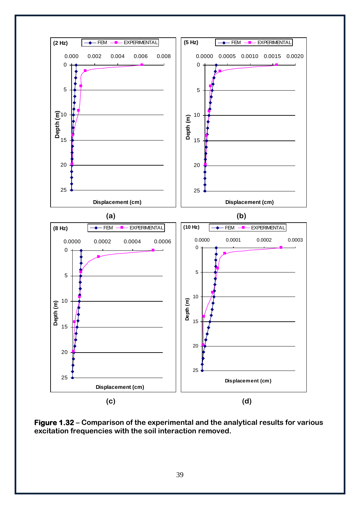

**Figure 1.32 – Comparison of the experimental and the analytical results for various excitation frequencies with the soil interaction removed.**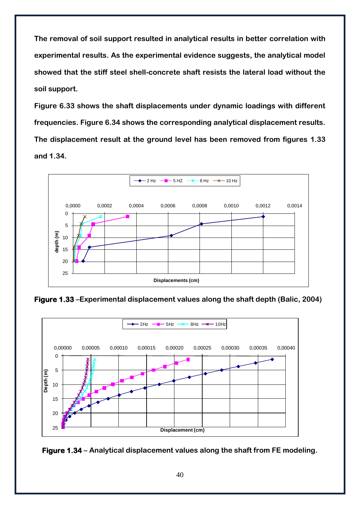**The removal of soil support resulted in analytical results in better correlation with experimental results. As the experimental evidence suggests, the analytical model showed that the stiff steel shell-concrete shaft resists the lateral load without the soil support.**

**Figure 6.33 shows the shaft displacements under dynamic loadings with different frequencies. Figure 6.34 shows the corresponding analytical displacement results. The displacement result at the ground level has been removed from figures 1.33 and 1.34.**



**Figure 1.33 –Experimental displacement values along the shaft depth (Balic, 2004)**



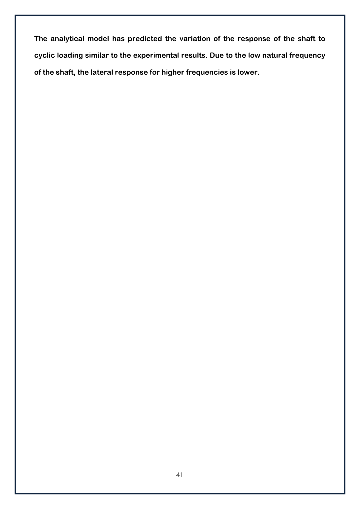**The analytical model has predicted the variation of the response of the shaft to cyclic loading similar to the experimental results. Due to the low natural frequency of the shaft, the lateral response for higher frequencies is lower.**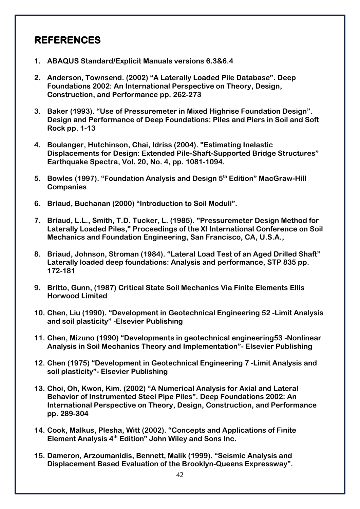# <span id="page-43-0"></span>**REFERENCES**

- **1. ABAQUS Standard/Explicit Manuals versions 6.3&6.4**
- **2. Anderson, Townsend. (2002) "A Laterally Loaded Pile Database". Deep Foundations 2002: An International Perspective on Theory, Design, Construction, and Performance pp. 262-273**
- **3. Baker (1993). "Use of Pressuremeter in Mixed Highrise Foundation Design". Design and Performance of Deep Foundations: Piles and Piers in Soil and Soft Rock pp. 1-13**
- **4. Boulanger, Hutchinson, Chai, Idriss (2004). "Estimating Inelastic Displacements for Design: Extended Pile-Shaft-Supported Bridge Structures" Earthquake Spectra, Vol. 20, No. 4, pp. 1081-1094.**
- **5. Bowles (1997). "Foundation Analysis and Design 5th Edition" MacGraw-Hill Companies**
- **6. Briaud, Buchanan (2000) "Introduction to Soil Moduli".**
- **7. Briaud, L.L., Smith, T.D. Tucker, L. (1985). "Pressuremeter Design Method for Laterally Loaded Piles," Proceedings of the XI International Conference on Soil Mechanics and Foundation Engineering, San Francisco, CA, U.S.A.,**
- **8. Briaud, Johnson, Stroman (1984). "Lateral Load Test of an Aged Drilled Shaft" Laterally loaded deep foundations: Analysis and performance, STP 835 pp. 172-181**
- **9. Britto, Gunn, (1987) Critical State Soil Mechanics Via Finite Elements Ellis Horwood Limited**
- **10. Chen, Liu (1990). "Development in Geotechnical Engineering 52 -Limit Analysis and soil plasticity" -Elsevier Publishing**
- **11. Chen, Mizuno (1990) "Developments in geotechnical engineering53 -Nonlinear Analysis in Soil Mechanics Theory and Implementation"- Elsevier Publishing**
- **12. Chen (1975) "Development in Geotechnical Engineering 7 -Limit Analysis and soil plasticity"- Elsevier Publishing**
- **13. Choi, Oh, Kwon, Kim. (2002) "A Numerical Analysis for Axial and Lateral Behavior of Instrumented Steel Pipe Piles". Deep Foundations 2002: An International Perspective on Theory, Design, Construction, and Performance pp. 289-304**
- **14. Cook, Malkus, Plesha, Witt (2002). "Concepts and Applications of Finite Element Analysis 4th Edition" John Wiley and Sons Inc.**
- **15. Dameron, Arzoumanidis, Bennett, Malik (1999). "Seismic Analysis and Displacement Based Evaluation of the Brooklyn-Queens Expressway".**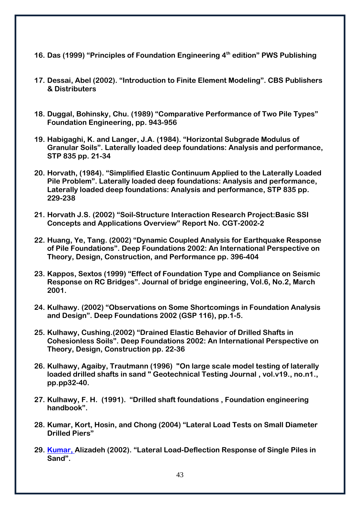- **16. Das (1999) "Principles of Foundation Engineering 4th edition" PWS Publishing**
- **17. Dessai, Abel (2002). "Introduction to Finite Element Modeling". CBS Publishers & Distributers**
- **18. Duggal, Bohinsky, Chu. (1989) "Comparative Performance of Two Pile Types" Foundation Engineering, pp. 943-956**
- **19. Habigaghi, K. and Langer, J.A. (1984). "Horizontal Subgrade Modulus of Granular Soils". Laterally loaded deep foundations: Analysis and performance, STP 835 pp. 21-34**
- **20. Horvath, (1984). "Simplified Elastic Continuum Applied to the Laterally Loaded Pile Problem". Laterally loaded deep foundations: Analysis and performance, Laterally loaded deep foundations: Analysis and performance, STP 835 pp. 229-238**
- **21. Horvath J.S. (2002) "Soil-Structure Interaction Research Project:Basic SSI Concepts and Applications Overview" Report No. CGT-2002-2**
- **22. Huang, Ye, Tang. (2002) "Dynamic Coupled Analysis for Earthquake Response of Pile Foundations". Deep Foundations 2002: An International Perspective on Theory, Design, Construction, and Performance pp. 396-404**
- **23. Kappos, Sextos (1999) "Effect of Foundation Type and Compliance on Seismic Response on RC Bridges". Journal of bridge engineering, Vol.6, No.2, March 2001.**
- **24. Kulhawy. (2002) "Observations on Some Shortcomings in Foundation Analysis and Design". Deep Foundations 2002 (GSP 116), pp.1-5.**
- **25. Kulhawy, Cushing.(2002) "Drained Elastic Behavior of Drilled Shafts in Cohesionless Soils". Deep Foundations 2002: An International Perspective on Theory, Design, Construction pp. 22-36**
- **26. Kulhawy, Agaiby, Trautmann (1996) "On large scale model testing of laterally loaded drilled shafts in sand " Geotechnical Testing Journal , vol.v19., no.n1., pp.pp32-40.**
- **27. Kulhawy, F. H. (1991). "Drilled shaft foundations , Foundation engineering handbook".**
- **28. Kumar, Kort, Hosin, and Chong (2004) "Lateral Load Tests on Small Diameter Drilled Piers"**
- **29. Kumar, Alizadeh (2002). "Lateral Load-Deflection Response of Single Piles in Sand".**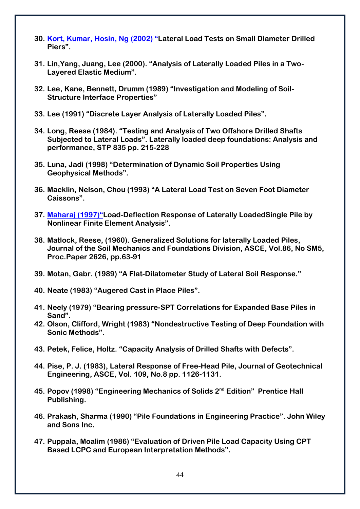- **30. Kort, Kumar, Hosin, Ng (2002) "Lateral Load Tests on Small Diameter Drilled Piers".**
- **31. Lin,Yang, Juang, Lee (2000). "Analysis of Laterally Loaded Piles in a Two-Layered Elastic Medium".**
- **32. Lee, Kane, Bennett, Drumm (1989) "Investigation and Modeling of Soil-Structure Interface Properties"**
- **33. Lee (1991) "Discrete Layer Analysis of Laterally Loaded Piles".**
- **34. Long, Reese (1984). "Testing and Analysis of Two Offshore Drilled Shafts Subjected to Lateral Loads". Laterally loaded deep foundations: Analysis and performance, STP 835 pp. 215-228**
- **35. Luna, Jadi (1998) "Determination of Dynamic Soil Properties Using Geophysical Methods".**
- **36. Macklin, Nelson, Chou (1993) "A Lateral Load Test on Seven Foot Diameter Caissons".**
- **37. Maharaj (1997)"Load-Deflection Response of Laterally LoadedSingle Pile by Nonlinear Finite Element Analysis".**
- **38. Matlock, Reese, (1960). Generalized Solutions for laterally Loaded Piles, Journal of the Soil Mechanics and Foundations Division, ASCE, Vol.86, No SM5, Proc.Paper 2626, pp.63-91**
- **39. Motan, Gabr. (1989) "A Flat-Dilatometer Study of Lateral Soil Response."**
- **40. Neate (1983) "Augered Cast in Place Piles".**
- **41. Neely (1979) "Bearing pressure-SPT Correlations for Expanded Base Piles in Sand".**
- **42. Olson, Clifford, Wright (1983) "Nondestructive Testing of Deep Foundation with Sonic Methods".**
- **43. Petek, Felice, Holtz. "Capacity Analysis of Drilled Shafts with Defects".**
- **44. Pise, P. J. (1983), Lateral Response of Free-Head Pile, Journal of Geotechnical Engineering, ASCE, Vol. 109, No.8 pp. 1126-1131.**
- **45. Popov (1998) "Engineering Mechanics of Solids 2nd Edition" Prentice Hall Publishing.**
- **46. Prakash, Sharma (1990) "Pile Foundations in Engineering Practice". John Wiley and Sons Inc.**
- **47. Puppala, Moalim (1986) "Evaluation of Driven Pile Load Capacity Using CPT Based LCPC and European Interpretation Methods".**